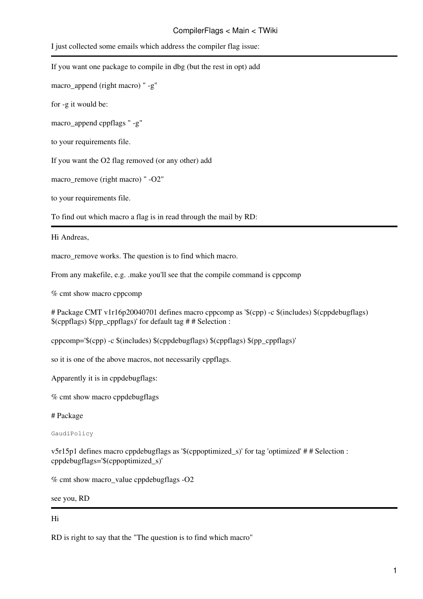## CompilerFlags < Main < TWiki

I just collected some emails which address the compiler flag issue:

| If you want one package to compile in dbg (but the rest in opt) add |
|---------------------------------------------------------------------|
| macro_append (right macro) " -g"                                    |
| for -g it would be:                                                 |
| macro_append cppflags " -g"                                         |
| to your requirements file.                                          |
| If you want the O2 flag removed (or any other) add                  |
| macro_remove (right macro) " -O2"                                   |

to your requirements file.

To find out which macro a flag is in read through the mail by RD:

Hi Andreas,

macro\_remove works. The question is to find which macro.

From any makefile, e.g. .make you'll see that the compile command is cppcomp

% cmt show macro cppcomp

# Package CMT v1r16p20040701 defines macro cppcomp as '\$(cpp) -c \$(includes) \$(cppdebugflags) \$(cppflags) \$(pp\_cppflags)' for default tag # # Selection :

cppcomp='\$(cpp) -c \$(includes) \$(cppdebugflags) \$(cppflags) \$(pp\_cppflags)'

so it is one of the above macros, not necessarily cppflags.

Apparently it is in cppdebugflags:

% cmt show macro cppdebugflags

# Package

GaudiPolicy

v5r15p1 defines macro cppdebugflags as '\$(cppoptimized\_s)' for tag 'optimized' # # Selection : cppdebugflags='\$(cppoptimized\_s)'

% cmt show macro\_value cppdebugflags -O2

see you, RD

## Hi

RD is right to say that the "The question is to find which macro"